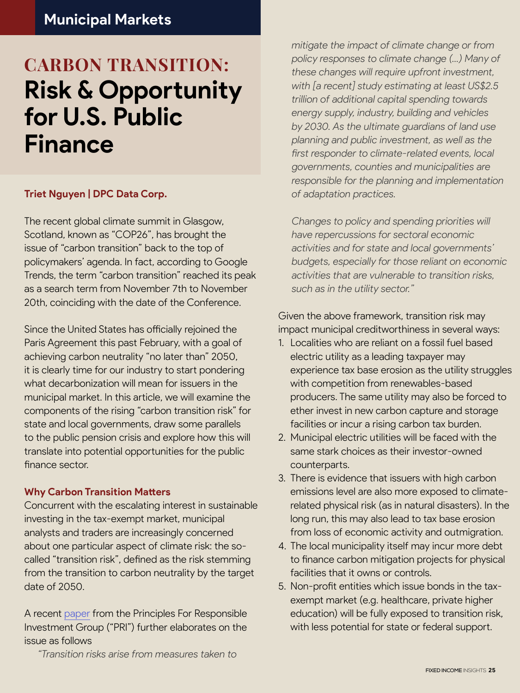# **Municipal Markets**

# **CARBON TRANSITION: Risk & Opportunity for U.S. Public Finance**

### **Triet Nguyen | DPC Data Corp.**

The recent global climate summit in Glasgow, Scotland, known as "COP26", has brought the issue of "carbon transition" back to the top of policymakers' agenda. In fact, according to Google Trends, the term "carbon transition" reached its peak as a search term from November 7th to November 20th, coinciding with the date of the Conference.

Since the United States has officially rejoined the Paris Agreement this past February, with a goal of achieving carbon neutrality "no later than" 2050, it is clearly time for our industry to start pondering what decarbonization will mean for issuers in the municipal market. In this article, we will examine the components of the rising "carbon transition risk" for state and local governments, draw some parallels to the public pension crisis and explore how this will translate into potential opportunities for the public finance sector.

#### **Why Carbon Transition Matters**

Concurrent with the escalating interest in sustainable investing in the tax-exempt market, municipal analysts and traders are increasingly concerned about one particular aspect of climate risk: the socalled "transition risk", defined as the risk stemming from the transition to carbon neutrality by the target date of 2050.

A recent [paper](https://www.unpri.org/fixed-income/esg-integration-in-sub-sovereign-debt-the-us-municipal-bond-market/8079.article) from the Principles For Responsible Investment Group ("PRI") further elaborates on the issue as follows

*"Transition risks arise from measures taken to* 

*mitigate the impact of climate change or from policy responses to climate change (…) Many of these changes will require upfront investment, with [a recent] study estimating at least US\$2.5 trillion of additional capital spending towards energy supply, industry, building and vehicles by 2030. As the ultimate guardians of land use planning and public investment, as well as the first responder to climate-related events, local governments, counties and municipalities are responsible for the planning and implementation of adaptation practices.*

*Changes to policy and spending priorities will have repercussions for sectoral economic activities and for state and local governments' budgets, especially for those reliant on economic activities that are vulnerable to transition risks, such as in the utility sector."*

Given the above framework, transition risk may impact municipal creditworthiness in several ways:

- 1. Localities who are reliant on a fossil fuel based electric utility as a leading taxpayer may experience tax base erosion as the utility struggles with competition from renewables-based producers. The same utility may also be forced to ether invest in new carbon capture and storage facilities or incur a rising carbon tax burden.
- 2. Municipal electric utilities will be faced with the same stark choices as their investor-owned counterparts.
- 3. There is evidence that issuers with high carbon emissions level are also more exposed to climaterelated physical risk (as in natural disasters). In the long run, this may also lead to tax base erosion from loss of economic activity and outmigration.
- 4. The local municipality itself may incur more debt to finance carbon mitigation projects for physical facilities that it owns or controls.
- 5. Non-profit entities which issue bonds in the taxexempt market (e.g. healthcare, private higher education) will be fully exposed to transition risk, with less potential for state or federal support.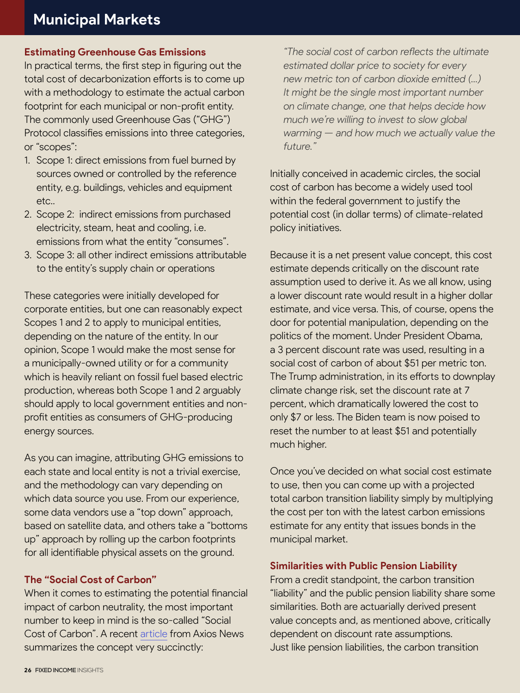# **Municipal Markets**

# **Estimating Greenhouse Gas Emissions**

In practical terms, the first step in figuring out the total cost of decarbonization efforts is to come up with a methodology to estimate the actual carbon footprint for each municipal or non-profit entity. The commonly used Greenhouse Gas ("GHG") Protocol classifies emissions into three categories, or "scopes":

- 1. Scope 1: direct emissions from fuel burned by sources owned or controlled by the reference entity, e.g. buildings, vehicles and equipment etc..
- 2. Scope 2: indirect emissions from purchased electricity, steam, heat and cooling, i.e. emissions from what the entity "consumes".
- 3. Scope 3: all other indirect emissions attributable to the entity's supply chain or operations

These categories were initially developed for corporate entities, but one can reasonably expect Scopes 1 and 2 to apply to municipal entities, depending on the nature of the entity. In our opinion, Scope 1 would make the most sense for a municipally-owned utility or for a community which is heavily reliant on fossil fuel based electric production, whereas both Scope 1 and 2 arguably should apply to local government entities and nonprofit entities as consumers of GHG-producing energy sources.

As you can imagine, attributing GHG emissions to each state and local entity is not a trivial exercise, and the methodology can vary depending on which data source you use. From our experience, some data vendors use a "top down" approach, based on satellite data, and others take a "bottoms up" approach by rolling up the carbon footprints for all identifiable physical assets on the ground.

# **The "Social Cost of Carbon"**

When it comes to estimating the potential financial impact of carbon neutrality, the most important number to keep in mind is the so-called "Social Cost of Carbon". A recent [article](https://www.axios.com/biden-social-cost-carbon-climate-change-db3d283d-0474-4cca-8b05-94eef27864e2.html) from Axios News summarizes the concept very succinctly:

*"The social cost of carbon reflects the ultimate estimated dollar price to society for every new metric ton of carbon dioxide emitted (…) It might be the single most important number on climate change, one that helps decide how much we're willing to invest to slow global warming — and how much we actually value the future."*

Initially conceived in academic circles, the social cost of carbon has become a widely used tool within the federal government to justify the potential cost (in dollar terms) of climate-related policy initiatives.

Because it is a net present value concept, this cost estimate depends critically on the discount rate assumption used to derive it. As we all know, using a lower discount rate would result in a higher dollar estimate, and vice versa. This, of course, opens the door for potential manipulation, depending on the politics of the moment. Under President Obama, a 3 percent discount rate was used, resulting in a social cost of carbon of about \$51 per metric ton. The Trump administration, in its efforts to downplay climate change risk, set the discount rate at 7 percent, which dramatically lowered the cost to only \$7 or less. The Biden team is now poised to reset the number to at least \$51 and potentially much higher.

Once you've decided on what social cost estimate to use, then you can come up with a projected total carbon transition liability simply by multiplying the cost per ton with the latest carbon emissions estimate for any entity that issues bonds in the municipal market.

## **Similarities with Public Pension Liability**

From a credit standpoint, the carbon transition "liability" and the public pension liability share some similarities. Both are actuarially derived present value concepts and, as mentioned above, critically dependent on discount rate assumptions. Just like pension liabilities, the carbon transition